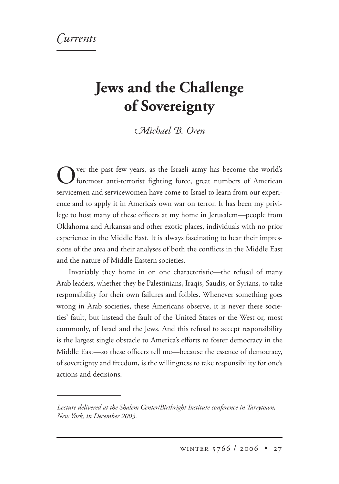## **Jews and the Challenge of Sovereignty**

*i* Michael *B.* Oren

Over the past few years, as the Israeli army has become the world's foremost anti-terrorist fighting force, great numbers of American servicemen and servicewomen have come to Israel to learn from our experience and to apply it in America's own war on terror. It has been my privilege to host many of these officers at my home in Jerusalem—people from Oklahoma and Arkansas and other exotic places, individuals with no prior experience in the Middle East. It is always fascinating to hear their impressions of the area and their analyses of both the conflicts in the Middle East and the nature of Middle Eastern societies.

Invariably they home in on one characteristic—the refusal of many Arab leaders, whether they be Palestinians, Iraqis, Saudis, or Syrians, to take responsibility for their own failures and foibles. Whenever something goes wrong in Arab societies, these Americans observe, it is never these societies' fault, but instead the fault of the United States or the West or, most commonly, of Israel and the Jews. And this refusal to accept responsibility is the largest single obstacle to America's efforts to foster democracy in the Middle East—so these officers tell me—because the essence of democracy, of sovereignty and freedom, is the willingness to take responsibility for one's actions and decisions.

*Lecture delivered at the Shalem Center/Birthright Institute conference in Tarrytown, New York, in December 2003.*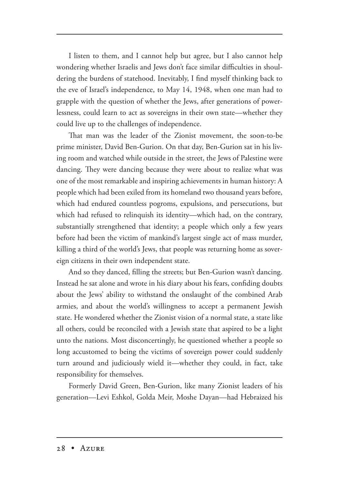I listen to them, and I cannot help but agree, but I also cannot help wondering whether Israelis and Jews don't face similar difficulties in shouldering the burdens of statehood. Inevitably, I find myself thinking back to the eve of Israel's independence, to May 14, 1948, when one man had to grapple with the question of whether the Jews, after generations of powerlessness, could learn to act as sovereigns in their own state—whether they could live up to the challenges of independence.

That man was the leader of the Zionist movement, the soon-to-be prime minister, David Ben-Gurion. On that day, Ben-Gurion sat in his living room and watched while outside in the street, the Jews of Palestine were dancing. They were dancing because they were about to realize what was one of the most remarkable and inspiring achievements in human history: A people which had been exiled from its homeland two thousand years before, which had endured countless pogroms, expulsions, and persecutions, but which had refused to relinquish its identity—which had, on the contrary, substantially strengthened that identity; a people which only a few years before had been the victim of mankind's largest single act of mass murder, killing a third of the world's Jews, that people was returning home as sovereign citizens in their own independent state.

And so they danced, filling the streets; but Ben-Gurion wasn't dancing. Instead he sat alone and wrote in his diary about his fears, confiding doubts about the Jews' ability to withstand the onslaught of the combined Arab armies, and about the world's willingness to accept a permanent Jewish state. He wondered whether the Zionist vision of a normal state, a state like all others, could be reconciled with a Jewish state that aspired to be a light unto the nations. Most disconcertingly, he questioned whether a people so long accustomed to being the victims of sovereign power could suddenly turn around and judiciously wield it—whether they could, in fact, take responsibility for themselves.

Formerly David Green, Ben-Gurion, like many Zionist leaders of his generation—Levi Eshkol, Golda Meir, Moshe Dayan—had Hebraized his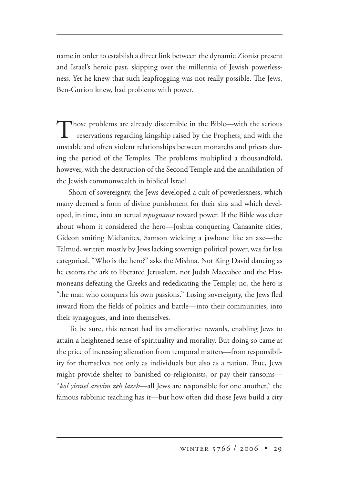name in order to establish a direct link between the dynamic Zionist present and Israel's heroic past, skipping over the millennia of Jewish powerlessness. Yet he knew that such leapfrogging was not really possible. The Jews, Ben-Gurion knew, had problems with power.

Those problems are already discernible in the Bible—with the serious reservations regarding kingship raised by the Prophets, and with the unstable and often violent relationships between monarchs and priests during the period of the Temples. The problems multiplied a thousandfold, however, with the destruction of the Second Temple and the annihilation of the Jewish commonwealth in biblical Israel.

Shorn of sovereignty, the Jews developed a cult of powerlessness, which many deemed a form of divine punishment for their sins and which developed, in time, into an actual *repugnance* toward power. If the Bible was clear about whom it considered the hero—Joshua conquering Canaanite cities, Gideon smiting Midianites, Samson wielding a jawbone like an axe—the Talmud, written mostly by Jews lacking sovereign political power, was far less categorical. "Who is the hero?" asks the Mishna. Not King David dancing as he escorts the ark to liberated Jerusalem, not Judah Maccabee and the Hasmoneans defeating the Greeks and rededicating the Temple; no, the hero is "the man who conquers his own passions." Losing sovereignty, the Jews fled inward from the fields of politics and battle—into their communities, into their synagogues, and into themselves.

To be sure, this retreat had its ameliorative rewards, enabling Jews to attain a heightened sense of spirituality and morality. But doing so came at the price of increasing alienation from temporal matters—from responsibility for themselves not only as individuals but also as a nation. True, Jews might provide shelter to banished co-religionists, or pay their ransoms— "*kol yisrael arevim zeh lazeh*—all Jews are responsible for one another," the famous rabbinic teaching has it—but how often did those Jews build a city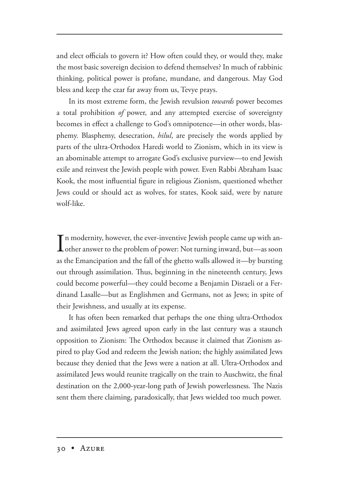and elect officials to govern it? How often could they, or would they, make the most basic sovereign decision to defend themselves? In much of rabbinic thinking, political power is profane, mundane, and dangerous. May God bless and keep the czar far away from us, Tevye prays.

In its most extreme form, the Jewish revulsion *towards* power becomes a total prohibition *of* power, and any attempted exercise of sovereignty becomes in effect a challenge to God's omnipotence—in other words, blasphemy. Blasphemy, desecration, *hilul*, are precisely the words applied by parts of the ultra-Orthodox Haredi world to Zionism, which in its view is an abominable attempt to arrogate God's exclusive purview—to end Jewish exile and reinvest the Jewish people with power. Even Rabbi Abraham Isaac Kook, the most influential figure in religious Zionism, questioned whether Jews could or should act as wolves, for states, Kook said, were by nature wolf-like.

 $\prod$ n modernity, however, the ever-inventive Jewish people came up with an-<br>other answer to the problem of power: Not turning inward, but—as soon **T** n modernity, however, the ever-inventive Jewish people came up with anas the Emancipation and the fall of the ghetto walls allowed it—by bursting out through assimilation. Thus, beginning in the nineteenth century, Jews could become powerful—they could become a Benjamin Disraeli or a Ferdinand Lasalle—but as Englishmen and Germans, not as Jews; in spite of their Jewishness, and usually at its expense.

It has often been remarked that perhaps the one thing ultra-Orthodox and assimilated Jews agreed upon early in the last century was a staunch opposition to Zionism: The Orthodox because it claimed that Zionism aspired to play God and redeem the Jewish nation; the highly assimilated Jews because they denied that the Jews were a nation at all. Ultra-Orthodox and assimilated Jews would reunite tragically on the train to Auschwitz, the final destination on the 2,000-year-long path of Jewish powerlessness. The Nazis sent them there claiming, paradoxically, that Jews wielded too much power.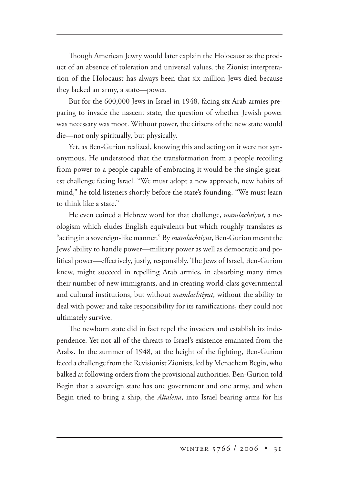Though American Jewry would later explain the Holocaust as the product of an absence of toleration and universal values, the Zionist interpretation of the Holocaust has always been that six million Jews died because they lacked an army, a state—power.

But for the 600,000 Jews in Israel in 1948, facing six Arab armies preparing to invade the nascent state, the question of whether Jewish power was necessary was moot. Without power, the citizens of the new state would die—not only spiritually, but physically.

Yet, as Ben-Gurion realized, knowing this and acting on it were not synonymous. He understood that the transformation from a people recoiling from power to a people capable of embracing it would be the single greatest challenge facing Israel. "We must adopt a new approach, new habits of mind," he told listeners shortly before the state's founding. "We must learn to think like a state."

He even coined a Hebrew word for that challenge, *mamlachtiyut*, a neologism which eludes English equivalents but which roughly translates as "acting in a sovereign-like manner." By *mamlachtiyut*, Ben-Gurion meant the Jews' ability to handle power—military power as well as democratic and political power—effectively, justly, responsibly. The Jews of Israel, Ben-Gurion knew, might succeed in repelling Arab armies, in absorbing many times their number of new immigrants, and in creating world-class governmental and cultural institutions, but without *mamlachtiyut*, without the ability to deal with power and take responsibility for its ramifications, they could not ultimately survive.

The newborn state did in fact repel the invaders and establish its independence. Yet not all of the threats to Israel's existence emanated from the Arabs. In the summer of 1948, at the height of the fighting, Ben-Gurion faced a challenge from the Revisionist Zionists, led by Menachem Begin, who balked at following orders from the provisional authorities. Ben-Gurion told Begin that a sovereign state has one government and one army, and when Begin tried to bring a ship, the *Altalena*, into Israel bearing arms for his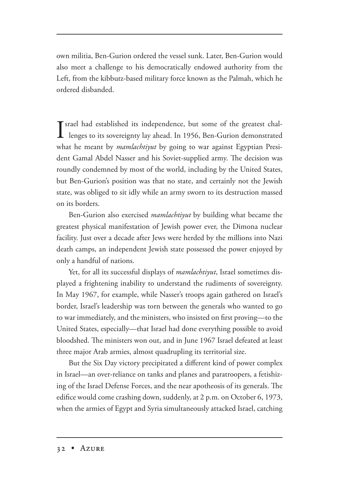own militia, Ben-Gurion ordered the vessel sunk. Later, Ben-Gurion would also meet a challenge to his democratically endowed authority from the Left, from the kibbutz-based military force known as the Palmah, which he ordered disbanded.

I srael had established its independence, but some of the greatest chal-<br>lenges to its sovereignty lay ahead. In 1956, Ben-Gurion demonstrated lenges to its sovereignty lay ahead. In 1956, Ben-Gurion demonstrated what he meant by *mamlachtiyut* by going to war against Egyptian President Gamal Abdel Nasser and his Soviet-supplied army. The decision was roundly condemned by most of the world, including by the United States, but Ben-Gurion's position was that no state, and certainly not the Jewish state, was obliged to sit idly while an army sworn to its destruction massed on its borders.

Ben-Gurion also exercised *mamlachtiyut* by building what became the greatest physical manifestation of Jewish power ever, the Dimona nuclear facility. Just over a decade after Jews were herded by the millions into Nazi death camps, an independent Jewish state possessed the power enjoyed by only a handful of nations.

Yet, for all its successful displays of *mamlachtiyut*, Israel sometimes displayed a frightening inability to understand the rudiments of sovereignty. In May 1967, for example, while Nasser's troops again gathered on Israel's border, Israel's leadership was torn between the generals who wanted to go to war immediately, and the ministers, who insisted on first proving—to the United States, especially—that Israel had done everything possible to avoid bloodshed. The ministers won out, and in June 1967 Israel defeated at least three major Arab armies, almost quadrupling its territorial size.

But the Six Day victory precipitated a different kind of power complex in Israel—an over-reliance on tanks and planes and paratroopers, a fetishizing of the Israel Defense Forces, and the near apotheosis of its generals. The edifice would come crashing down, suddenly, at 2 p.m. on October 6, 1973, when the armies of Egypt and Syria simultaneously attacked Israel, catching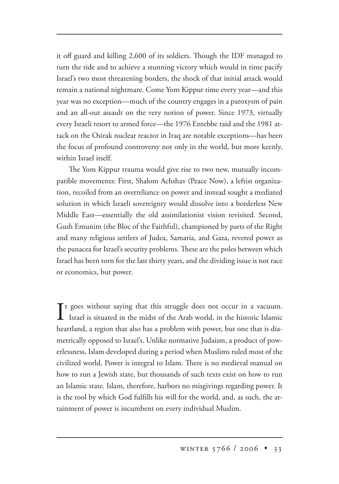it off guard and killing 2,600 of its soldiers. Though the IDF managed to turn the tide and to achieve a stunning victory which would in time pacify Israel's two most threatening borders, the shock of that initial attack would remain a national nightmare. Come Yom Kippur time every year—and this year was no exception—much of the country engages in a paroxysm of pain and an all-out assault on the very notion of power. Since 1973, virtually every Israeli resort to armed force—the 1976 Entebbe raid and the 1981 attack on the Osirak nuclear reactor in Iraq are notable exceptions—has been the focus of profound controversy not only in the world, but more keenly, within Israel itself.

The Yom Kippur trauma would give rise to two new, mutually incompatible movements: First, Shalom Achshav (Peace Now), a leftist organization, recoiled from an overreliance on power and instead sought a mediated solution in which Israeli sovereignty would dissolve into a borderless New Middle East—essentially the old assimilationist vision revisited. Second, Gush Emunim (the Bloc of the Faithful), championed by parts of the Right and many religious settlers of Judea, Samaria, and Gaza, revered power as the panacea for Israel's security problems. These are the poles between which Israel has been torn for the last thirty years, and the dividing issue is not race or economics, but power.

It goes without saying that this struggle does not occur in a vacuum.<br>Israel is situated in the midst of the Arab world, in the historic Islamic Tt goes without saying that this struggle does not occur in a vacuum. heartland, a region that also has a problem with power, but one that is diametrically opposed to Israel's. Unlike normative Judaism, a product of powerlessness, Islam developed during a period when Muslims ruled most of the civilized world. Power is integral to Islam. There is no medieval manual on how to run a Jewish state, but thousands of such texts exist on how to run an Islamic state. Islam, therefore, harbors no misgivings regarding power. It is the tool by which God fulfills his will for the world, and, as such, the attainment of power is incumbent on every individual Muslim.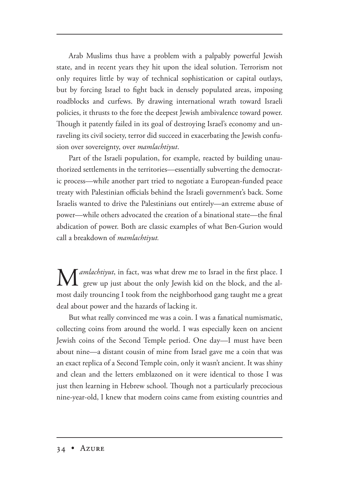Arab Muslims thus have a problem with a palpably powerful Jewish state, and in recent years they hit upon the ideal solution. Terrorism not only requires little by way of technical sophistication or capital outlays, but by forcing Israel to fight back in densely populated areas, imposing roadblocks and curfews. By drawing international wrath toward Israeli policies, it thrusts to the fore the deepest Jewish ambivalence toward power. Though it patently failed in its goal of destroying Israel's economy and unraveling its civil society, terror did succeed in exacerbating the Jewish confusion over sovereignty, over *mamlachtiyut*.

Part of the Israeli population, for example, reacted by building unauthorized settlements in the territories—essentially subverting the democratic process—while another part tried to negotiate a European-funded peace treaty with Palestinian officials behind the Israeli government's back. Some Israelis wanted to drive the Palestinians out entirely—an extreme abuse of power—while others advocated the creation of a binational state—the final abdication of power. Both are classic examples of what Ben-Gurion would call a breakdown of *mamlachtiyut.*

M*amlachtiyut*, in fact, was what drew me to Israel in the first place. I grew up just about the only Jewish kid on the block, and the almost daily trouncing I took from the neighborhood gang taught me a great deal about power and the hazards of lacking it.

But what really convinced me was a coin. I was a fanatical numismatic, collecting coins from around the world. I was especially keen on ancient Jewish coins of the Second Temple period. One day—I must have been about nine—a distant cousin of mine from Israel gave me a coin that was an exact replica of a Second Temple coin, only it wasn't ancient. It was shiny and clean and the letters emblazoned on it were identical to those I was just then learning in Hebrew school. Though not a particularly precocious nine-year-old, I knew that modern coins came from existing countries and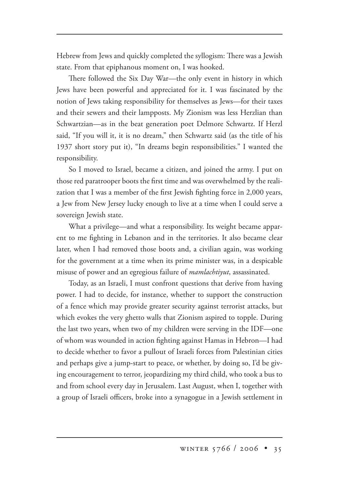Hebrew from Jews and quickly completed the syllogism: There was a Jewish state. From that epiphanous moment on, I was hooked.

There followed the Six Day War—the only event in history in which Jews have been powerful and appreciated for it. I was fascinated by the notion of Jews taking responsibility for themselves as Jews—for their taxes and their sewers and their lampposts. My Zionism was less Herzlian than Schwartzian—as in the beat generation poet Delmore Schwartz. If Herzl said, "If you will it, it is no dream," then Schwartz said (as the title of his 1937 short story put it), "In dreams begin responsibilities." I wanted the responsibility.

So I moved to Israel, became a citizen, and joined the army. I put on those red paratrooper boots the first time and was overwhelmed by the realization that I was a member of the first Jewish fighting force in 2,000 years, a Jew from New Jersey lucky enough to live at a time when I could serve a sovereign Jewish state.

What a privilege—and what a responsibility. Its weight became apparent to me fighting in Lebanon and in the territories. It also became clear later, when I had removed those boots and, a civilian again, was working for the government at a time when its prime minister was, in a despicable misuse of power and an egregious failure of *mamlachtiyut*, assassinated.

Today, as an Israeli, I must confront questions that derive from having power. I had to decide, for instance, whether to support the construction of a fence which may provide greater security against terrorist attacks, but which evokes the very ghetto walls that Zionism aspired to topple. During the last two years, when two of my children were serving in the IDF—one of whom was wounded in action fighting against Hamas in Hebron—I had to decide whether to favor a pullout of Israeli forces from Palestinian cities and perhaps give a jump-start to peace, or whether, by doing so, I'd be giving encouragement to terror, jeopardizing my third child, who took a bus to and from school every day in Jerusalem. Last August, when I, together with a group of Israeli officers, broke into a synagogue in a Jewish settlement in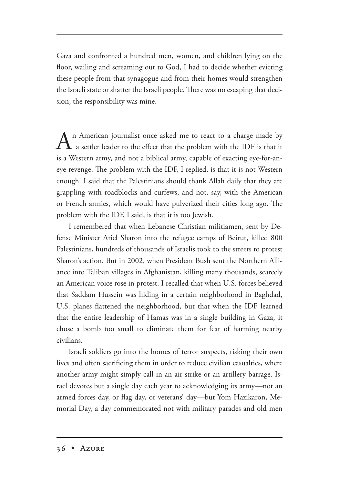Gaza and confronted a hundred men, women, and children lying on the floor, wailing and screaming out to God, I had to decide whether evicting these people from that synagogue and from their homes would strengthen the Israeli state or shatter the Israeli people. There was no escaping that decision; the responsibility was mine.

An American journalist once asked me to react to a charge made by a settler leader to the effect that the problem with the IDF is that it is a Western army, and not a biblical army, capable of exacting eye-for-aneye revenge. The problem with the IDF, I replied, is that it is not Western enough. I said that the Palestinians should thank Allah daily that they are grappling with roadblocks and curfews, and not, say, with the American or French armies, which would have pulverized their cities long ago. The problem with the IDF, I said, is that it is too Jewish.

I remembered that when Lebanese Christian militiamen, sent by Defense Minister Ariel Sharon into the refugee camps of Beirut, killed 800 Palestinians, hundreds of thousands of Israelis took to the streets to protest Sharon's action. But in 2002, when President Bush sent the Northern Alliance into Taliban villages in Afghanistan, killing many thousands, scarcely an American voice rose in protest. I recalled that when U.S. forces believed that Saddam Hussein was hiding in a certain neighborhood in Baghdad, U.S. planes flattened the neighborhood, but that when the IDF learned that the entire leadership of Hamas was in a single building in Gaza, it chose a bomb too small to eliminate them for fear of harming nearby civilians.

Israeli soldiers go into the homes of terror suspects, risking their own lives and often sacrificing them in order to reduce civilian casualties, where another army might simply call in an air strike or an artillery barrage. Israel devotes but a single day each year to acknowledging its army—not an armed forces day, or flag day, or veterans' day—but Yom Hazikaron, Memorial Day, a day commemorated not with military parades and old men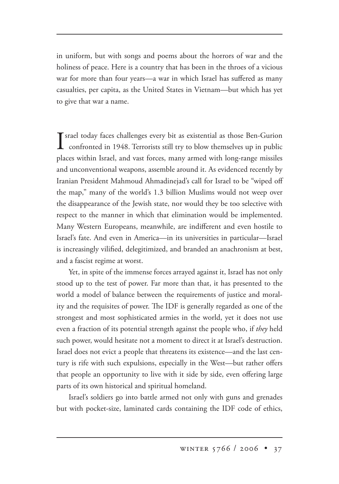in uniform, but with songs and poems about the horrors of war and the holiness of peace. Here is a country that has been in the throes of a vicious war for more than four years—a war in which Israel has suffered as many casualties, per capita, as the United States in Vietnam—but which has yet to give that war a name.

I srael today faces challenges every bit as existential as those Ben-Gurion confronted in 1948. Terrorists still try to blow themselves up in public confronted in 1948. Terrorists still try to blow themselves up in public places within Israel, and vast forces, many armed with long-range missiles and unconventional weapons, assemble around it. As evidenced recently by Iranian President Mahmoud Ahmadinejad's call for Israel to be "wiped off the map," many of the world's 1.3 billion Muslims would not weep over the disappearance of the Jewish state, nor would they be too selective with respect to the manner in which that elimination would be implemented. Many Western Europeans, meanwhile, are indifferent and even hostile to Israel's fate. And even in America—in its universities in particular—Israel is increasingly vilified, delegitimized, and branded an anachronism at best, and a fascist regime at worst.

Yet, in spite of the immense forces arrayed against it, Israel has not only stood up to the test of power. Far more than that, it has presented to the world a model of balance between the requirements of justice and morality and the requisites of power. The IDF is generally regarded as one of the strongest and most sophisticated armies in the world, yet it does not use even a fraction of its potential strength against the people who, if *they* held such power, would hesitate not a moment to direct it at Israel's destruction. Israel does not evict a people that threatens its existence—and the last century is rife with such expulsions, especially in the West—but rather offers that people an opportunity to live with it side by side, even offering large parts of its own historical and spiritual homeland.

Israel's soldiers go into battle armed not only with guns and grenades but with pocket-size, laminated cards containing the IDF code of ethics,